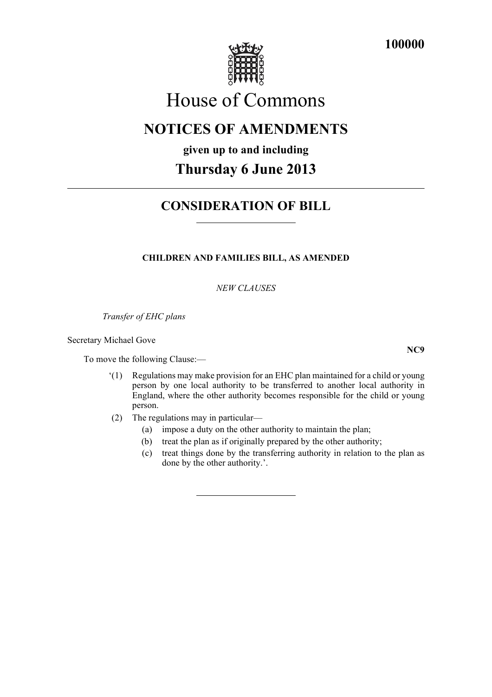

# House of Commons

## **NOTICES OF AMENDMENTS**

**given up to and including**

## **Thursday 6 June 2013**

## **CONSIDERATION OF BILL**

### **CHILDREN AND FAMILIES BILL, AS AMENDED**

*NEW CLAUSES*

*Transfer of EHC plans*

Secretary Michael Gove

To move the following Clause:—

- '(1) Regulations may make provision for an EHC plan maintained for a child or young person by one local authority to be transferred to another local authority in England, where the other authority becomes responsible for the child or young person.
- (2) The regulations may in particular—
	- (a) impose a duty on the other authority to maintain the plan;
	- (b) treat the plan as if originally prepared by the other authority;
	- (c) treat things done by the transferring authority in relation to the plan as done by the other authority.'.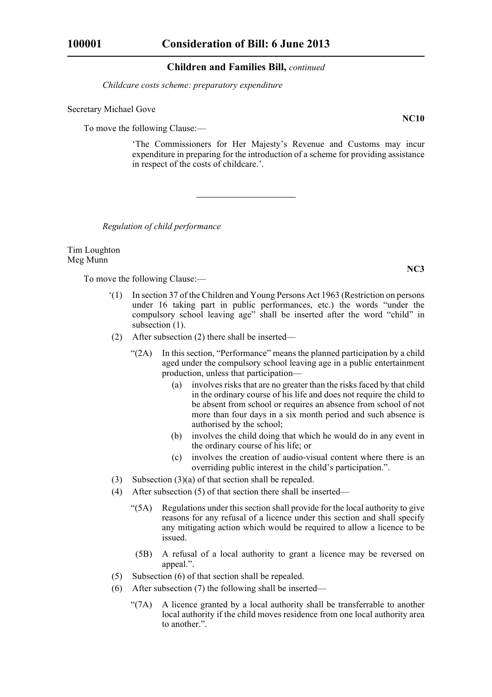*Childcare costs scheme: preparatory expenditure*

#### Secretary Michael Gove

To move the following Clause:—

'The Commissioners for Her Majesty's Revenue and Customs may incur expenditure in preparing for the introduction of a scheme for providing assistance in respect of the costs of childcare.'.

*Regulation of child performance*

Tim Loughton Meg Munn

To move the following Clause:—

- '(1) In section 37 of the Children and Young Persons Act 1963 (Restriction on persons under 16 taking part in public performances, etc.) the words "under the compulsory school leaving age" shall be inserted after the word "child" in subsection  $(1)$ .
- (2) After subsection (2) there shall be inserted—
	- "(2A) In this section, "Performance" means the planned participation by a child aged under the compulsory school leaving age in a public entertainment production, unless that participation—
		- (a) involves risks that are no greater than the risks faced by that child in the ordinary course of his life and does not require the child to be absent from school or requires an absence from school of not more than four days in a six month period and such absence is authorised by the school;
		- (b) involves the child doing that which he would do in any event in the ordinary course of his life; or
		- (c) involves the creation of audio-visual content where there is an overriding public interest in the child's participation.".
- (3) Subsection (3)(a) of that section shall be repealed.
- (4) After subsection (5) of that section there shall be inserted—
	- "(5A) Regulations under this section shall provide for the local authority to give reasons for any refusal of a licence under this section and shall specify any mitigating action which would be required to allow a licence to be issued.
	- (5B) A refusal of a local authority to grant a licence may be reversed on appeal.".
- (5) Subsection (6) of that section shall be repealed.
- (6) After subsection (7) the following shall be inserted—
	- "(7A) A licence granted by a local authority shall be transferrable to another local authority if the child moves residence from one local authority area to another.".

**NC10**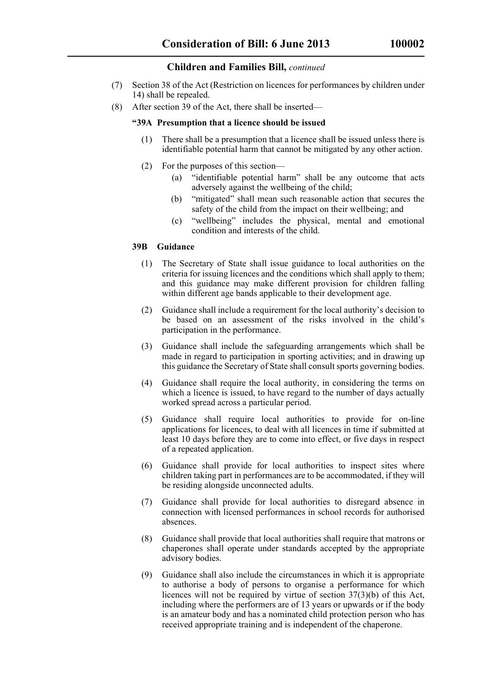- (7) Section 38 of the Act (Restriction on licences for performances by children under 14) shall be repealed.
- (8) After section 39 of the Act, there shall be inserted—

#### **"39A Presumption that a licence should be issued**

- (1) There shall be a presumption that a licence shall be issued unless there is identifiable potential harm that cannot be mitigated by any other action.
- (2) For the purposes of this section—
	- (a) "identifiable potential harm" shall be any outcome that acts adversely against the wellbeing of the child;
	- (b) "mitigated" shall mean such reasonable action that secures the safety of the child from the impact on their wellbeing; and
	- (c) "wellbeing" includes the physical, mental and emotional condition and interests of the child.

#### **39B Guidance**

- (1) The Secretary of State shall issue guidance to local authorities on the criteria for issuing licences and the conditions which shall apply to them; and this guidance may make different provision for children falling within different age bands applicable to their development age.
- (2) Guidance shall include a requirement for the local authority's decision to be based on an assessment of the risks involved in the child's participation in the performance.
- (3) Guidance shall include the safeguarding arrangements which shall be made in regard to participation in sporting activities; and in drawing up this guidance the Secretary of State shall consult sports governing bodies.
- (4) Guidance shall require the local authority, in considering the terms on which a licence is issued, to have regard to the number of days actually worked spread across a particular period.
- (5) Guidance shall require local authorities to provide for on-line applications for licences, to deal with all licences in time if submitted at least 10 days before they are to come into effect, or five days in respect of a repeated application.
- (6) Guidance shall provide for local authorities to inspect sites where children taking part in performances are to be accommodated, if they will be residing alongside unconnected adults.
- (7) Guidance shall provide for local authorities to disregard absence in connection with licensed performances in school records for authorised absences.
- (8) Guidance shall provide that local authorities shall require that matrons or chaperones shall operate under standards accepted by the appropriate advisory bodies.
- (9) Guidance shall also include the circumstances in which it is appropriate to authorise a body of persons to organise a performance for which licences will not be required by virtue of section 37(3)(b) of this Act, including where the performers are of 13 years or upwards or if the body is an amateur body and has a nominated child protection person who has received appropriate training and is independent of the chaperone.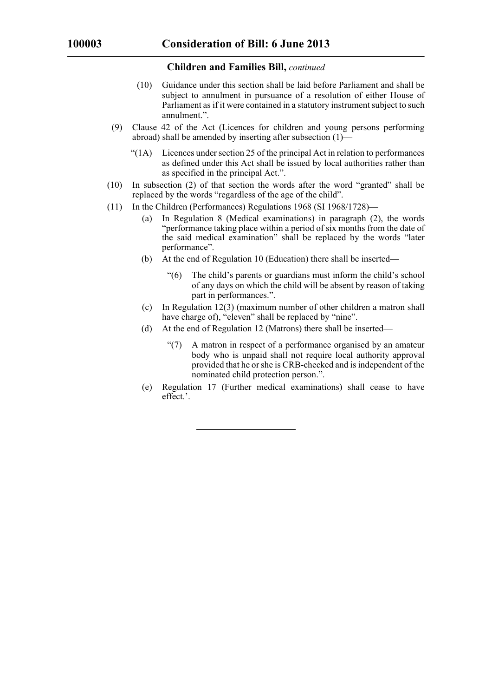- (10) Guidance under this section shall be laid before Parliament and shall be subject to annulment in pursuance of a resolution of either House of Parliament as if it were contained in a statutory instrument subject to such annulment."
- (9) Clause 42 of the Act (Licences for children and young persons performing abroad) shall be amended by inserting after subsection (1)—
	- $\text{``(1A)}$  Licences under section 25 of the principal Act in relation to performances as defined under this Act shall be issued by local authorities rather than as specified in the principal Act.".
- (10) In subsection (2) of that section the words after the word "granted" shall be replaced by the words "regardless of the age of the child".
- (11) In the Children (Performances) Regulations 1968 (SI 1968/1728)—
	- (a) In Regulation 8 (Medical examinations) in paragraph (2), the words "performance taking place within a period of six months from the date of the said medical examination" shall be replaced by the words "later performance".
	- (b) At the end of Regulation 10 (Education) there shall be inserted—
		- "(6) The child's parents or guardians must inform the child's school of any days on which the child will be absent by reason of taking part in performances.".
	- (c) In Regulation 12(3) (maximum number of other children a matron shall have charge of), "eleven" shall be replaced by "nine".
	- (d) At the end of Regulation 12 (Matrons) there shall be inserted—
		- "(7) A matron in respect of a performance organised by an amateur body who is unpaid shall not require local authority approval provided that he or she is CRB-checked and is independent of the nominated child protection person.".
	- (e) Regulation 17 (Further medical examinations) shall cease to have effect.'.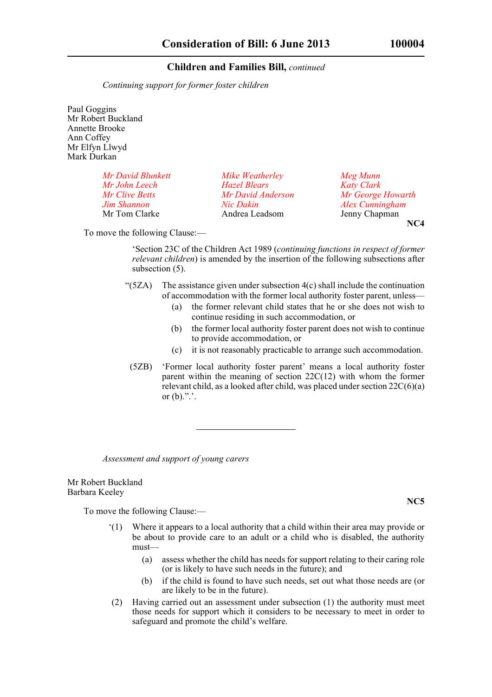*Continuing support for former foster children*

Paul Goggins Mr Robert Buckland Annette Brooke Ann Coffey Mr Elfyn Llwyd Mark Durkan

*Mr David Blunkett Mike Weatherley Meg Munn*

*Mr John Leech Hazel Blears Katy Clark Mr Clive Betts Mr David Anderson Mr George Howarth Jim Shannon Nic Dakin Alex Cunningham* Mr Tom Clarke Andrea Leadsom Jenny Chapman

**NC4**

To move the following Clause:—

'Section 23C of the Children Act 1989 (*continuing functions in respect of former relevant children*) is amended by the insertion of the following subsections after subsection  $(5)$ .

- " $(5ZA)$  The assistance given under subsection  $4(c)$  shall include the continuation of accommodation with the former local authority foster parent, unless—
	- (a) the former relevant child states that he or she does not wish to continue residing in such accommodation, or
	- (b) the former local authority foster parent does not wish to continue to provide accommodation, or
	- (c) it is not reasonably practicable to arrange such accommodation.
- (5ZB) 'Former local authority foster parent' means a local authority foster parent within the meaning of section 22C(12) with whom the former relevant child, as a looked after child, was placed under section  $22C(6)(a)$ or  $(b)$ .".'.

*Assessment and support of young carers*

Mr Robert Buckland Barbara Keeley

To move the following Clause:—

- Where it appears to a local authority that a child within their area may provide or be about to provide care to an adult or a child who is disabled, the authority must—
	- (a) assess whether the child has needs for support relating to their caring role (or is likely to have such needs in the future); and
	- (b) if the child is found to have such needs, set out what those needs are (or are likely to be in the future).
- (2) Having carried out an assessment under subsection (1) the authority must meet those needs for support which it considers to be necessary to meet in order to safeguard and promote the child's welfare.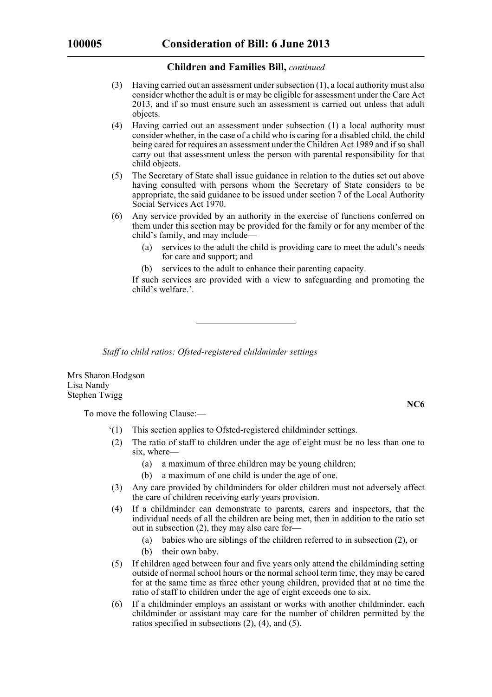- (3) Having carried out an assessment under subsection (1), a local authority must also consider whether the adult is or may be eligible for assessment under the Care Act 2013, and if so must ensure such an assessment is carried out unless that adult objects.
- (4) Having carried out an assessment under subsection (1) a local authority must consider whether, in the case of a child who is caring for a disabled child, the child being cared for requires an assessment under the Children Act 1989 and if so shall carry out that assessment unless the person with parental responsibility for that child objects.
- (5) The Secretary of State shall issue guidance in relation to the duties set out above having consulted with persons whom the Secretary of State considers to be appropriate, the said guidance to be issued under section 7 of the Local Authority Social Services Act 1970.
- (6) Any service provided by an authority in the exercise of functions conferred on them under this section may be provided for the family or for any member of the child's family, and may include—
	- (a) services to the adult the child is providing care to meet the adult's needs for care and support; and
	- (b) services to the adult to enhance their parenting capacity.

If such services are provided with a view to safeguarding and promoting the child's welfare.'

*Staff to child ratios: Ofsted-registered childminder settings*

Mrs Sharon Hodgson Lisa Nandy Stephen Twigg

To move the following Clause:—

- '(1) This section applies to Ofsted-registered childminder settings.
- (2) The ratio of staff to children under the age of eight must be no less than one to six, where—
	- (a) a maximum of three children may be young children;
	- (b) a maximum of one child is under the age of one.
- (3) Any care provided by childminders for older children must not adversely affect the care of children receiving early years provision.
- (4) If a childminder can demonstrate to parents, carers and inspectors, that the individual needs of all the children are being met, then in addition to the ratio set out in subsection (2), they may also care for—
	- (a) babies who are siblings of the children referred to in subsection (2), or
	- (b) their own baby.
- (5) If children aged between four and five years only attend the childminding setting outside of normal school hours or the normal school term time, they may be cared for at the same time as three other young children, provided that at no time the ratio of staff to children under the age of eight exceeds one to six.
- (6) If a childminder employs an assistant or works with another childminder, each childminder or assistant may care for the number of children permitted by the ratios specified in subsections (2), (4), and (5).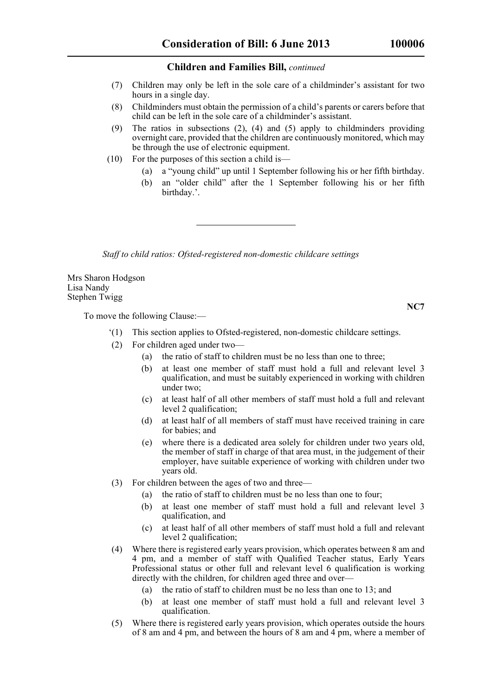- (7) Children may only be left in the sole care of a childminder's assistant for two hours in a single day.
- (8) Childminders must obtain the permission of a child's parents or carers before that child can be left in the sole care of a childminder's assistant.
- (9) The ratios in subsections  $(2)$ ,  $(4)$  and  $(5)$  apply to childminders providing overnight care, provided that the children are continuously monitored, which may be through the use of electronic equipment.
- (10) For the purposes of this section a child is—
	- (a) a "young child" up until 1 September following his or her fifth birthday.
	- (b) an "older child" after the 1 September following his or her fifth birthday.'.

*Staff to child ratios: Ofsted-registered non-domestic childcare settings*

Mrs Sharon Hodgson Lisa Nandy Stephen Twigg

To move the following Clause:—

- '(1) This section applies to Ofsted-registered, non-domestic childcare settings.
- (2) For children aged under two—
	- (a) the ratio of staff to children must be no less than one to three;
	- (b) at least one member of staff must hold a full and relevant level 3 qualification, and must be suitably experienced in working with children under two;
	- (c) at least half of all other members of staff must hold a full and relevant level 2 qualification;
	- (d) at least half of all members of staff must have received training in care for babies; and
	- (e) where there is a dedicated area solely for children under two years old, the member of staff in charge of that area must, in the judgement of their employer, have suitable experience of working with children under two years old.
- (3) For children between the ages of two and three—
	- (a) the ratio of staff to children must be no less than one to four;
	- (b) at least one member of staff must hold a full and relevant level 3 qualification, and
	- (c) at least half of all other members of staff must hold a full and relevant level 2 qualification;
- (4) Where there is registered early years provision, which operates between 8 am and 4 pm, and a member of staff with Qualified Teacher status, Early Years Professional status or other full and relevant level 6 qualification is working directly with the children, for children aged three and over—
	- (a) the ratio of staff to children must be no less than one to 13; and
	- (b) at least one member of staff must hold a full and relevant level 3 qualification.
- (5) Where there is registered early years provision, which operates outside the hours of 8 am and 4 pm, and between the hours of 8 am and 4 pm, where a member of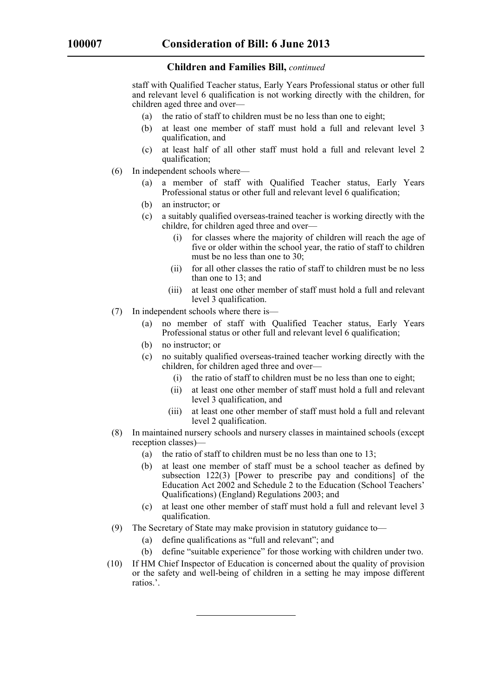staff with Qualified Teacher status, Early Years Professional status or other full and relevant level 6 qualification is not working directly with the children, for children aged three and over—

- (a) the ratio of staff to children must be no less than one to eight;
- (b) at least one member of staff must hold a full and relevant level 3 qualification, and
- (c) at least half of all other staff must hold a full and relevant level 2 qualification;
- (6) In independent schools where—
	- (a) a member of staff with Qualified Teacher status, Early Years Professional status or other full and relevant level 6 qualification;
	- (b) an instructor; or
	- (c) a suitably qualified overseas-trained teacher is working directly with the childre, for children aged three and over—
		- (i) for classes where the majority of children will reach the age of five or older within the school year, the ratio of staff to children must be no less than one to 30;
		- (ii) for all other classes the ratio of staff to children must be no less than one to 13; and
		- (iii) at least one other member of staff must hold a full and relevant level 3 qualification.
- (7) In independent schools where there is—
	- (a) no member of staff with Qualified Teacher status, Early Years Professional status or other full and relevant level 6 qualification;
	- (b) no instructor; or
	- (c) no suitably qualified overseas-trained teacher working directly with the children, for children aged three and over
		- the ratio of staff to children must be no less than one to eight;
		- (ii) at least one other member of staff must hold a full and relevant level 3 qualification, and
		- (iii) at least one other member of staff must hold a full and relevant level 2 qualification.
- (8) In maintained nursery schools and nursery classes in maintained schools (except reception classes)—
	- (a) the ratio of staff to children must be no less than one to 13;
	- (b) at least one member of staff must be a school teacher as defined by subsection 122(3) [Power to prescribe pay and conditions] of the Education Act 2002 and Schedule 2 to the Education (School Teachers' Qualifications) (England) Regulations 2003; and
	- (c) at least one other member of staff must hold a full and relevant level 3 qualification.
- (9) The Secretary of State may make provision in statutory guidance to—
	- (a) define qualifications as "full and relevant"; and
	- (b) define "suitable experience" for those working with children under two.
- (10) If HM Chief Inspector of Education is concerned about the quality of provision or the safety and well-being of children in a setting he may impose different ratios.'.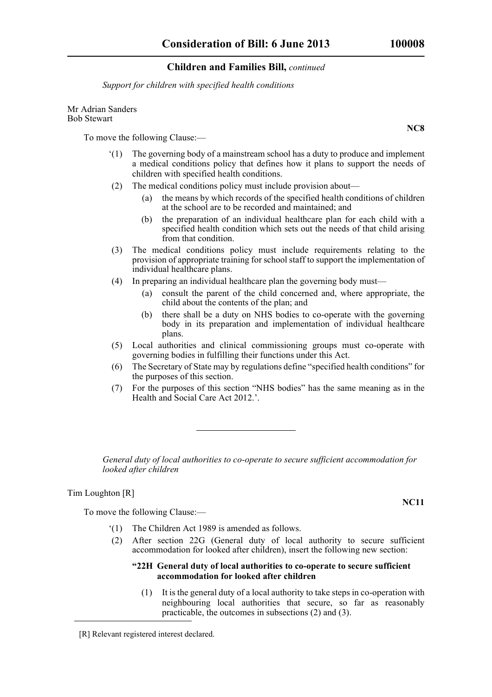*Support for children with specified health conditions*

#### Mr Adrian Sanders Bob Stewart

To move the following Clause:—

- '(1) The governing body of a mainstream school has a duty to produce and implement a medical conditions policy that defines how it plans to support the needs of children with specified health conditions.
- (2) The medical conditions policy must include provision about—
	- (a) the means by which records of the specified health conditions of children at the school are to be recorded and maintained; and
	- (b) the preparation of an individual healthcare plan for each child with a specified health condition which sets out the needs of that child arising from that condition.
- (3) The medical conditions policy must include requirements relating to the provision of appropriate training for school staff to support the implementation of individual healthcare plans.
- (4) In preparing an individual healthcare plan the governing body must—
	- (a) consult the parent of the child concerned and, where appropriate, the child about the contents of the plan; and
	- (b) there shall be a duty on NHS bodies to co-operate with the governing body in its preparation and implementation of individual healthcare plans.
- (5) Local authorities and clinical commissioning groups must co-operate with governing bodies in fulfilling their functions under this Act.
- (6) The Secretary of State may by regulations define "specified health conditions" for the purposes of this section.
- (7) For the purposes of this section "NHS bodies" has the same meaning as in the Health and Social Care Act 2012.'.

*General duty of local authorities to co-operate to secure sufficient accommodation for looked after children*

#### Tim Loughton [R]

To move the following Clause:—

- '(1) The Children Act 1989 is amended as follows.
- (2) After section 22G (General duty of local authority to secure sufficient accommodation for looked after children), insert the following new section:

#### **"22H General duty of local authorities to co-operate to secure sufficient accommodation for looked after children**

(1) It is the general duty of a local authority to take steps in co-operation with neighbouring local authorities that secure, so far as reasonably practicable, the outcomes in subsections (2) and (3).

<sup>[</sup>R] Relevant registered interest declared.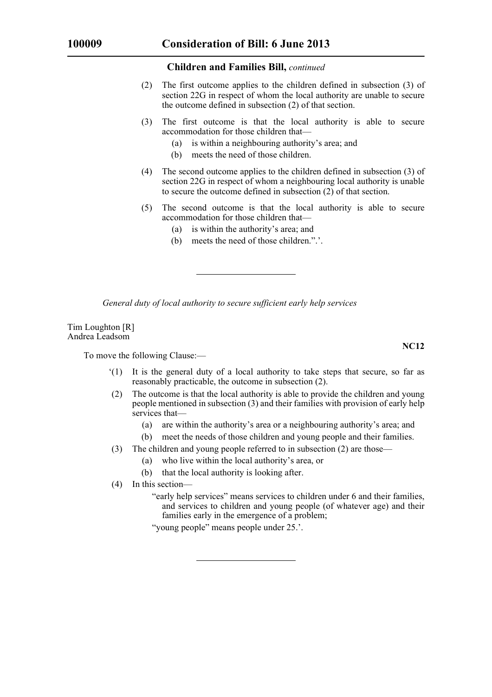- (2) The first outcome applies to the children defined in subsection (3) of section 22G in respect of whom the local authority are unable to secure the outcome defined in subsection (2) of that section.
- (3) The first outcome is that the local authority is able to secure accommodation for those children that—
	- (a) is within a neighbouring authority's area; and
	- (b) meets the need of those children.
- (4) The second outcome applies to the children defined in subsection (3) of section 22G in respect of whom a neighbouring local authority is unable to secure the outcome defined in subsection (2) of that section.
- (5) The second outcome is that the local authority is able to secure accommodation for those children that—
	- (a) is within the authority's area; and
	- (b) meets the need of those children.".'.

*General duty of local authority to secure sufficient early help services*

Tim Loughton [R] Andrea Leadsom

To move the following Clause:—

- '(1) It is the general duty of a local authority to take steps that secure, so far as reasonably practicable, the outcome in subsection (2).
- (2) The outcome is that the local authority is able to provide the children and young people mentioned in subsection (3) and their families with provision of early help services that—
	- (a) are within the authority's area or a neighbouring authority's area; and
	- (b) meet the needs of those children and young people and their families.
- (3) The children and young people referred to in subsection (2) are those—
	- (a) who live within the local authority's area, or
		- (b) that the local authority is looking after.
- (4) In this section—
	- "early help services" means services to children under 6 and their families, and services to children and young people (of whatever age) and their families early in the emergence of a problem;

"young people" means people under 25.'.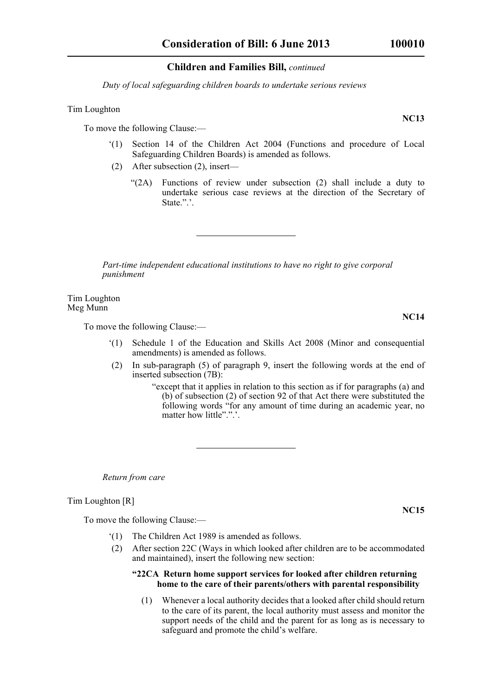*Duty of local safeguarding children boards to undertake serious reviews*

Tim Loughton

To move the following Clause:—

- '(1) Section 14 of the Children Act 2004 (Functions and procedure of Local Safeguarding Children Boards) is amended as follows.
- (2) After subsection (2), insert—
	- "(2A) Functions of review under subsection (2) shall include a duty to undertake serious case reviews at the direction of the Secretary of State.".'.

*Part-time independent educational institutions to have no right to give corporal punishment*

Tim Loughton Meg Munn

To move the following Clause:—

- '(1) Schedule 1 of the Education and Skills Act 2008 (Minor and consequential amendments) is amended as follows.
- (2) In sub-paragraph (5) of paragraph 9, insert the following words at the end of inserted subsection (7B):
	- "except that it applies in relation to this section as if for paragraphs (a) and (b) of subsection (2) of section 92 of that Act there were substituted the following words "for any amount of time during an academic year, no matter how little".".'.

*Return from care*

Tim Loughton [R]

To move the following Clause:—

- '(1) The Children Act 1989 is amended as follows.
- (2) After section 22C (Ways in which looked after children are to be accommodated and maintained), insert the following new section:

#### **"22CA Return home support services for looked after children returning home to the care of their parents/others with parental responsibility**

(1) Whenever a local authority decides that a looked after child should return to the care of its parent, the local authority must assess and monitor the support needs of the child and the parent for as long as is necessary to safeguard and promote the child's welfare.

**NC13**

**NC14**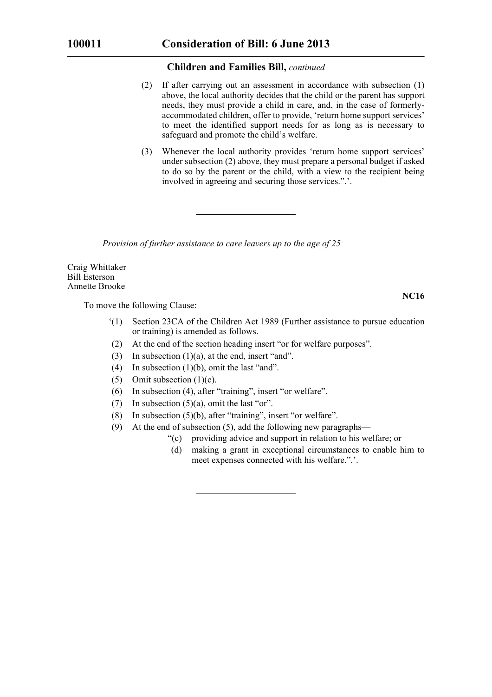- (2) If after carrying out an assessment in accordance with subsection (1) above, the local authority decides that the child or the parent has support needs, they must provide a child in care, and, in the case of formerlyaccommodated children, offer to provide, 'return home support services' to meet the identified support needs for as long as is necessary to safeguard and promote the child's welfare.
- (3) Whenever the local authority provides 'return home support services' under subsection (2) above, they must prepare a personal budget if asked to do so by the parent or the child, with a view to the recipient being involved in agreeing and securing those services.".'.

*Provision of further assistance to care leavers up to the age of 25*

Craig Whittaker Bill Esterson Annette Brooke

To move the following Clause:—

- '(1) Section 23CA of the Children Act 1989 (Further assistance to pursue education or training) is amended as follows.
- (2) At the end of the section heading insert "or for welfare purposes".
- (3) In subsection  $(1)(a)$ , at the end, insert "and".
- (4) In subsection (1)(b), omit the last "and".
- (5) Omit subsection (1)(c).
- (6) In subsection (4), after "training", insert "or welfare".
- (7) In subsection  $(5)(a)$ , omit the last "or".
- (8) In subsection (5)(b), after "training", insert "or welfare".
- (9) At the end of subsection (5), add the following new paragraphs—
	- "(c) providing advice and support in relation to his welfare; or
	- (d) making a grant in exceptional circumstances to enable him to meet expenses connected with his welfare.".'.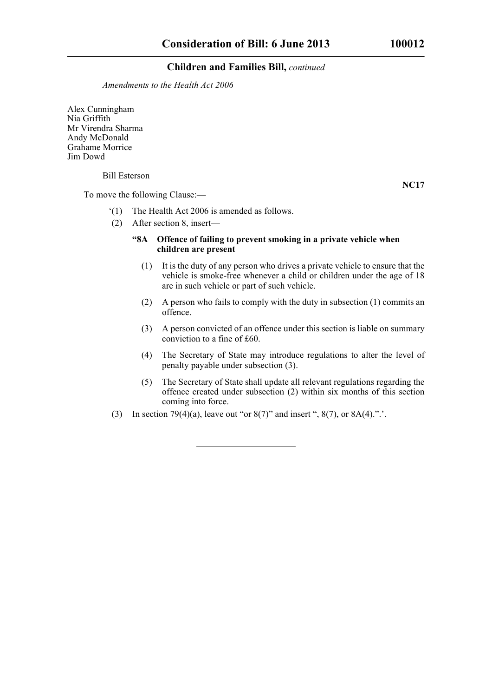*Amendments to the Health Act 2006*

Alex Cunningham Nia Griffith Mr Virendra Sharma Andy McDonald Grahame Morrice Jim Dowd

#### Bill Esterson

To move the following Clause:—

- '(1) The Health Act 2006 is amended as follows.
- (2) After section 8, insert—

#### **"8A Offence of failing to prevent smoking in a private vehicle when children are present**

- (1) It is the duty of any person who drives a private vehicle to ensure that the vehicle is smoke-free whenever a child or children under the age of 18 are in such vehicle or part of such vehicle.
- (2) A person who fails to comply with the duty in subsection (1) commits an offence.
- (3) A person convicted of an offence under this section is liable on summary conviction to a fine of £60.
- (4) The Secretary of State may introduce regulations to alter the level of penalty payable under subsection (3).
- (5) The Secretary of State shall update all relevant regulations regarding the offence created under subsection (2) within six months of this section coming into force.
- (3) In section 79(4)(a), leave out "or  $8(7)$ " and insert ",  $8(7)$ , or  $8A(4)$ .".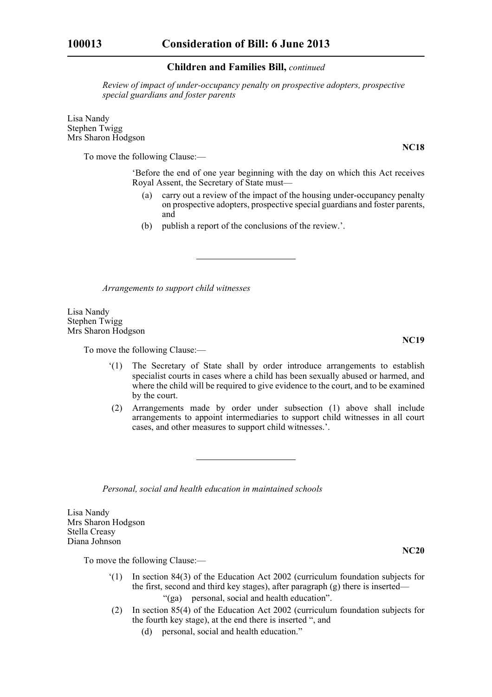*Review of impact of under-occupancy penalty on prospective adopters, prospective special guardians and foster parents*

Lisa Nandy Stephen Twigg Mrs Sharon Hodgson

To move the following Clause:—

'Before the end of one year beginning with the day on which this Act receives Royal Assent, the Secretary of State must—

- (a) carry out a review of the impact of the housing under-occupancy penalty on prospective adopters, prospective special guardians and foster parents, and
- (b) publish a report of the conclusions of the review.'.

*Arrangements to support child witnesses*

Lisa Nandy Stephen Twigg Mrs Sharon Hodgson

To move the following Clause:—

- '(1) The Secretary of State shall by order introduce arrangements to establish specialist courts in cases where a child has been sexually abused or harmed, and where the child will be required to give evidence to the court, and to be examined by the court.
- (2) Arrangements made by order under subsection (1) above shall include arrangements to appoint intermediaries to support child witnesses in all court cases, and other measures to support child witnesses.'.

*Personal, social and health education in maintained schools*

Lisa Nandy Mrs Sharon Hodgson Stella Creasy Diana Johnson

To move the following Clause:—

- '(1) In section 84(3) of the Education Act 2002 (curriculum foundation subjects for the first, second and third key stages), after paragraph (g) there is inserted— "(ga) personal, social and health education".
- (2) In section 85(4) of the Education Act 2002 (curriculum foundation subjects for the fourth key stage), at the end there is inserted ", and
	- (d) personal, social and health education."

**NC18**

**NC19**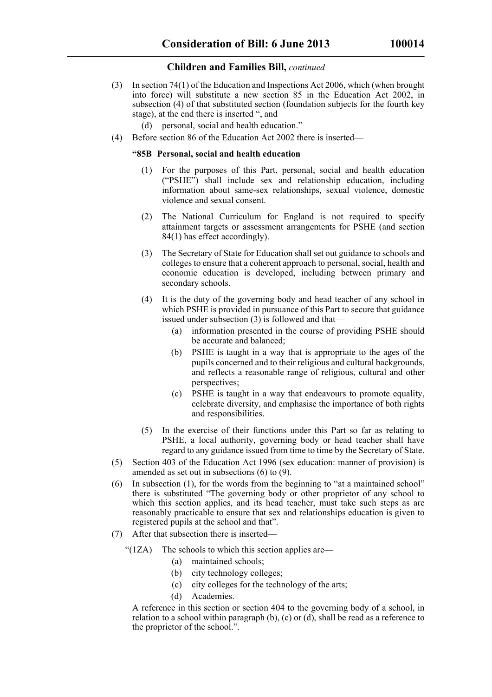- (3) In section 74(1) of the Education and Inspections Act 2006, which (when brought into force) will substitute a new section 85 in the Education Act 2002, in subsection (4) of that substituted section (foundation subjects for the fourth key stage), at the end there is inserted ", and
	- (d) personal, social and health education."
- (4) Before section 86 of the Education Act 2002 there is inserted—

#### **"85B Personal, social and health education**

- (1) For the purposes of this Part, personal, social and health education ("PSHE") shall include sex and relationship education, including information about same-sex relationships, sexual violence, domestic violence and sexual consent.
- (2) The National Curriculum for England is not required to specify attainment targets or assessment arrangements for PSHE (and section 84(1) has effect accordingly).
- (3) The Secretary of State for Education shall set out guidance to schools and colleges to ensure that a coherent approach to personal, social, health and economic education is developed, including between primary and secondary schools.
- (4) It is the duty of the governing body and head teacher of any school in which PSHE is provided in pursuance of this Part to secure that guidance issued under subsection  $(3)$  is followed and that—
	- (a) information presented in the course of providing PSHE should be accurate and balanced;
	- (b) PSHE is taught in a way that is appropriate to the ages of the pupils concerned and to their religious and cultural backgrounds, and reflects a reasonable range of religious, cultural and other perspectives;
	- (c) PSHE is taught in a way that endeavours to promote equality, celebrate diversity, and emphasise the importance of both rights and responsibilities.
- (5) In the exercise of their functions under this Part so far as relating to PSHE, a local authority, governing body or head teacher shall have regard to any guidance issued from time to time by the Secretary of State.
- (5) Section 403 of the Education Act 1996 (sex education: manner of provision) is amended as set out in subsections  $(6)$  to  $(9)$ .
- (6) In subsection (1), for the words from the beginning to "at a maintained school" there is substituted "The governing body or other proprietor of any school to which this section applies, and its head teacher, must take such steps as are reasonably practicable to ensure that sex and relationships education is given to registered pupils at the school and that".
- (7) After that subsection there is inserted—
	- " $(1ZA)$  The schools to which this section applies are—
		- (a) maintained schools;
		- (b) city technology colleges;
		- (c) city colleges for the technology of the arts;
		- (d) Academies.

A reference in this section or section 404 to the governing body of a school, in relation to a school within paragraph (b), (c) or (d), shall be read as a reference to the proprietor of the school.".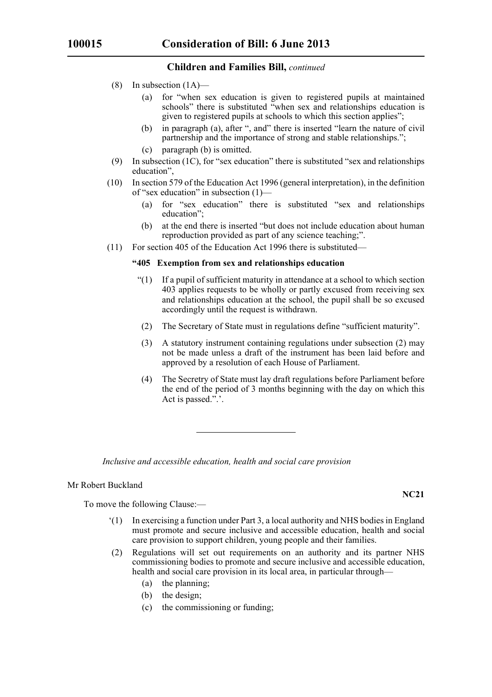- (8) In subsection (1A)—
	- (a) for "when sex education is given to registered pupils at maintained schools" there is substituted "when sex and relationships education is given to registered pupils at schools to which this section applies";
	- (b) in paragraph (a), after ", and" there is inserted "learn the nature of civil partnership and the importance of strong and stable relationships.";
	- (c) paragraph (b) is omitted.
- (9) In subsection (1C), for "sex education" there is substituted "sex and relationships education",
- (10) In section 579 of the Education Act 1996 (general interpretation), in the definition of "sex education" in subsection (1)—
	- (a) for "sex education" there is substituted "sex and relationships education";
	- (b) at the end there is inserted "but does not include education about human reproduction provided as part of any science teaching;".
- (11) For section 405 of the Education Act 1996 there is substituted—

#### **"405 Exemption from sex and relationships education**

- "(1) If a pupil of sufficient maturity in attendance at a school to which section 403 applies requests to be wholly or partly excused from receiving sex and relationships education at the school, the pupil shall be so excused accordingly until the request is withdrawn.
- (2) The Secretary of State must in regulations define "sufficient maturity".
- (3) A statutory instrument containing regulations under subsection (2) may not be made unless a draft of the instrument has been laid before and approved by a resolution of each House of Parliament.
- (4) The Secretry of State must lay draft regulations before Parliament before the end of the period of 3 months beginning with the day on which this Act is passed.".'.

*Inclusive and accessible education, health and social care provision*

#### Mr Robert Buckland

To move the following Clause:—

- '(1) In exercising a function under Part 3, a local authority and NHS bodies in England must promote and secure inclusive and accessible education, health and social care provision to support children, young people and their families.
- (2) Regulations will set out requirements on an authority and its partner NHS commissioning bodies to promote and secure inclusive and accessible education, health and social care provision in its local area, in particular through—
	- (a) the planning;
	- (b) the design;
	- (c) the commissioning or funding;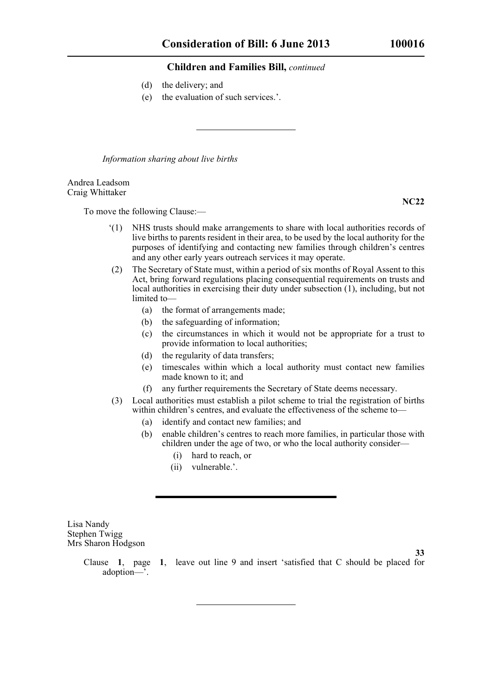- (d) the delivery; and
- (e) the evaluation of such services.'.

*Information sharing about live births*

#### Andrea Leadsom Craig Whittaker

To move the following Clause:—

**NC22**

**33**

- '(1) NHS trusts should make arrangements to share with local authorities records of live births to parents resident in their area, to be used by the local authority for the purposes of identifying and contacting new families through children's centres and any other early years outreach services it may operate.
- (2) The Secretary of State must, within a period of six months of Royal Assent to this Act, bring forward regulations placing consequential requirements on trusts and local authorities in exercising their duty under subsection (1), including, but not limited to—
	- (a) the format of arrangements made;
	- (b) the safeguarding of information;
	- (c) the circumstances in which it would not be appropriate for a trust to provide information to local authorities;
	- (d) the regularity of data transfers;
	- (e) timescales within which a local authority must contact new families made known to it; and
	- (f) any further requirements the Secretary of State deems necessary.
- (3) Local authorities must establish a pilot scheme to trial the registration of births within children's centres, and evaluate the effectiveness of the scheme to—
	- (a) identify and contact new families; and
	- (b) enable children's centres to reach more families, in particular those with children under the age of two, or who the local authority consider—
		- (i) hard to reach, or
		- (ii) vulnerable.'.

Lisa Nandy Stephen Twigg Mrs Sharon Hodgson

> Clause **1**, page **1**, leave out line 9 and insert 'satisfied that C should be placed for adoption—'.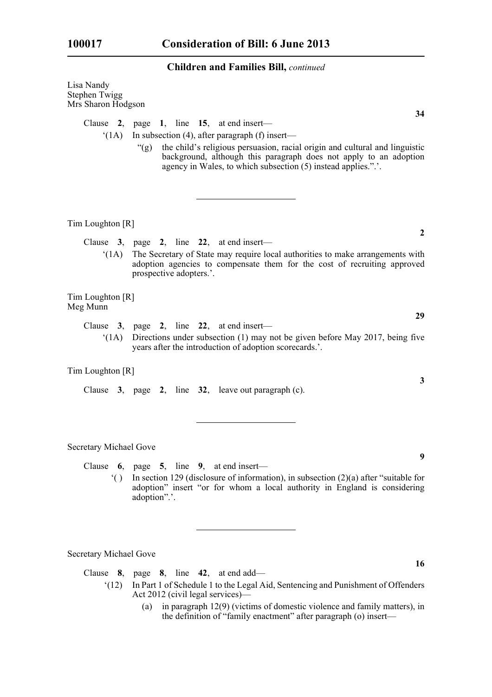| Lisa Nandy<br><b>Stephen Twigg</b><br>Mrs Sharon Hodgson | 34                                                                                                                                                                                                                                                                                  |
|----------------------------------------------------------|-------------------------------------------------------------------------------------------------------------------------------------------------------------------------------------------------------------------------------------------------------------------------------------|
|                                                          | Clause 2, page 1, line 15, at end insert—                                                                                                                                                                                                                                           |
| (1A)                                                     | In subsection $(4)$ , after paragraph $(f)$ insert—<br>the child's religious persuasion, racial origin and cultural and linguistic<br>" $(g)$<br>background, although this paragraph does not apply to an adoption<br>agency in Wales, to which subsection (5) instead applies.".'. |
| Tim Loughton $[R]$                                       |                                                                                                                                                                                                                                                                                     |
|                                                          | $\mathbf{2}$<br>Clause 3, page 2, line 22, at end insert—                                                                                                                                                                                                                           |
| (1A)                                                     | The Secretary of State may require local authorities to make arrangements with<br>adoption agencies to compensate them for the cost of recruiting approved<br>prospective adopters.'.                                                                                               |
| Tim Loughton [R]<br>Meg Munn                             |                                                                                                                                                                                                                                                                                     |
|                                                          | 29<br>Clause $3$ , page 2, line 22, at end insert—<br>'(1A) Directions under subsection (1) may not be given before May 2017, being five<br>years after the introduction of adoption scorecards.'.                                                                                  |
| Tim Loughton [R]                                         |                                                                                                                                                                                                                                                                                     |
|                                                          | $\mathbf{3}$<br>Clause $3$ , page $2$ , line $32$ , leave out paragraph (c).                                                                                                                                                                                                        |
| <b>Secretary Michael Gove</b>                            |                                                                                                                                                                                                                                                                                     |
|                                                          | 9<br>Clause 6, page 5, line 9, at end insert—                                                                                                                                                                                                                                       |
| $\hat{ }$ ( )                                            | In section 129 (disclosure of information), in subsection $(2)(a)$ after "suitable for<br>adoption" insert "or for whom a local authority in England is considering<br>adoption".'.                                                                                                 |

Secretary Michael Gove

Clause **8**, page **8**, line **42**, at end add—

- '(12) In Part 1 of Schedule 1 to the Legal Aid, Sentencing and Punishment of Offenders Act 2012 (civil legal services)—
	- (a) in paragraph 12(9) (victims of domestic violence and family matters), in the definition of "family enactment" after paragraph (o) insert—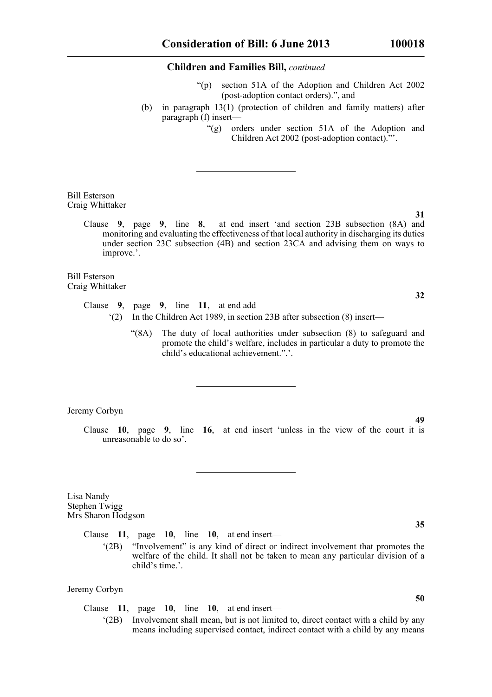- "(p) section 51A of the Adoption and Children Act 2002 (post-adoption contact orders).", and
- (b) in paragraph 13(1) (protection of children and family matters) after paragraph (f) insert—
	- "(g) orders under section 51A of the Adoption and Children Act 2002 (post-adoption contact)."'.

Bill Esterson Craig Whittaker

> Clause **9**, page **9**, line **8**, at end insert 'and section 23B subsection (8A) and monitoring and evaluating the effectiveness of that local authority in discharging its duties under section 23C subsection (4B) and section 23CA and advising them on ways to improve.'.

Bill Esterson Craig Whittaker

**32**

**49**

**31**

Clause **9**, page **9**, line **11**, at end add— '(2) In the Children Act 1989, in section 23B after subsection (8) insert—

> "(8A) The duty of local authorities under subsection (8) to safeguard and promote the child's welfare, includes in particular a duty to promote the child's educational achievement.".'.

Jeremy Corbyn

Clause **10**, page **9**, line **16**, at end insert 'unless in the view of the court it is unreasonable to do so'.

Lisa Nandy Stephen Twigg Mrs Sharon Hodgson

Clause **11**, page **10**, line **10**, at end insert—

'(2B) "Involvement" is any kind of direct or indirect involvement that promotes the welfare of the child. It shall not be taken to mean any particular division of a child's time.'.

Jeremy Corbyn

Clause **11**, page **10**, line **10**, at end insert—

'(2B) Involvement shall mean, but is not limited to, direct contact with a child by any means including supervised contact, indirect contact with a child by any means

**50**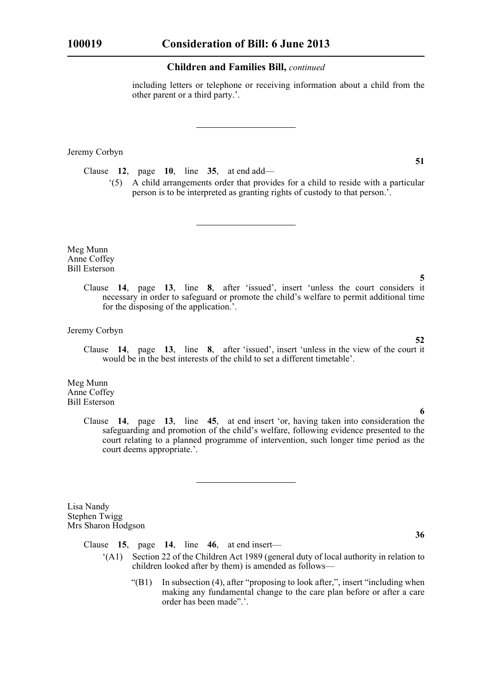including letters or telephone or receiving information about a child from the other parent or a third party.'.

#### Jeremy Corbyn

Clause **12**, page **10**, line **35**, at end add—

'(5) A child arrangements order that provides for a child to reside with a particular person is to be interpreted as granting rights of custody to that person.'.

Meg Munn Anne Coffey Bill Esterson

Jeremy Corbyn

Clause **14**, page **13**, line **8**, after 'issued', insert 'unless in the view of the court it would be in the best interests of the child to set a different timetable'.

Meg Munn Anne Coffey Bill Esterson

> Clause **14**, page **13**, line **45**, at end insert 'or, having taken into consideration the safeguarding and promotion of the child's welfare, following evidence presented to the court relating to a planned programme of intervention, such longer time period as the court deems appropriate.'.

Lisa Nandy Stephen Twigg Mrs Sharon Hodgson

Clause **15**, page **14**, line **46**, at end insert—

- '(A1) Section 22 of the Children Act 1989 (general duty of local authority in relation to children looked after by them) is amended as follows—
	- "(B1) In subsection (4), after "proposing to look after,", insert "including when making any fundamental change to the care plan before or after a care order has been made".'.

**51**

**52**

**5**

**6**

Clause **14**, page **13**, line **8**, after 'issued', insert 'unless the court considers it necessary in order to safeguard or promote the child's welfare to permit additional time for the disposing of the application.'.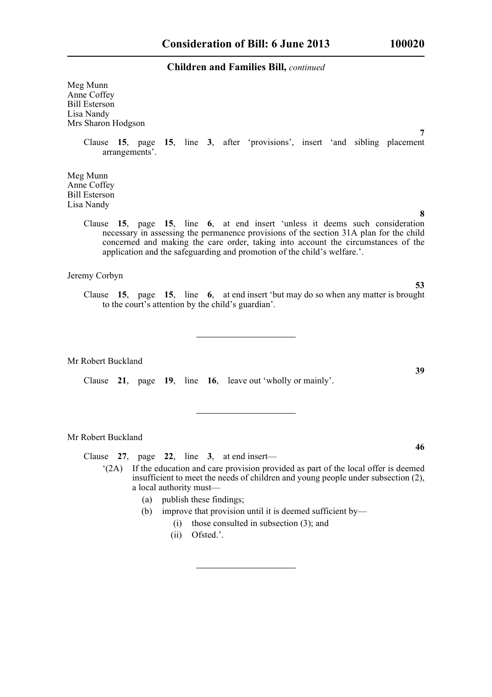Meg Munn Anne Coffey Bill Esterson Lisa Nandy Mrs Sharon Hodgson

> Clause **15**, page **15**, line **3**, after 'provisions', insert 'and sibling placement arrangements'.

Meg Munn Anne Coffey Bill Esterson Lisa Nandy

> Clause **15**, page **15**, line **6**, at end insert 'unless it deems such consideration necessary in assessing the permanence provisions of the section 31A plan for the child concerned and making the care order, taking into account the circumstances of the application and the safeguarding and promotion of the child's welfare.'.

Jeremy Corbyn

Clause **15**, page **15**, line **6**, at end insert 'but may do so when any matter is brought to the court's attention by the child's guardian'.

Mr Robert Buckland

Clause **21**, page **19**, line **16**, leave out 'wholly or mainly'.

Mr Robert Buckland

Clause **27**, page **22**, line **3**, at end insert—

- '(2A) If the education and care provision provided as part of the local offer is deemed insufficient to meet the needs of children and young people under subsection (2), a local authority must—
	- (a) publish these findings;
	- (b) improve that provision until it is deemed sufficient by—
		- (i) those consulted in subsection (3); and
		- (ii) Ofsted.'.

**7**

**53**

**39**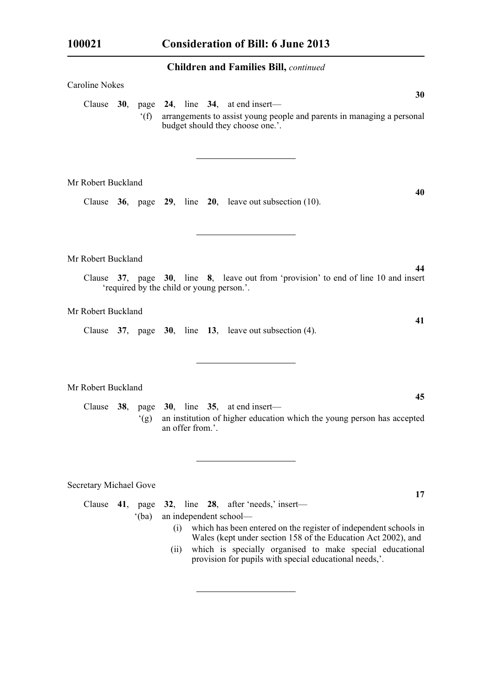| <b>Caroline Nokes</b>  |                                                             |                                              |  |                                                                  | 30                                                                                                                                                                                                                                                      |  |  |  |  |
|------------------------|-------------------------------------------------------------|----------------------------------------------|--|------------------------------------------------------------------|---------------------------------------------------------------------------------------------------------------------------------------------------------------------------------------------------------------------------------------------------------|--|--|--|--|
|                        | Clause $30$ , page 24, line 34, at end insert—<br>f(f)      |                                              |  | budget should they choose one.'.                                 | arrangements to assist young people and parents in managing a personal                                                                                                                                                                                  |  |  |  |  |
| Mr Robert Buckland     |                                                             |                                              |  |                                                                  |                                                                                                                                                                                                                                                         |  |  |  |  |
|                        |                                                             |                                              |  | Clause $36$ , page $29$ , line $20$ , leave out subsection (10). | 40                                                                                                                                                                                                                                                      |  |  |  |  |
|                        | Mr Robert Buckland                                          |                                              |  |                                                                  |                                                                                                                                                                                                                                                         |  |  |  |  |
|                        | 'required by the child or young person.'.                   |                                              |  |                                                                  | 44<br>Clause 37, page 30, line 8, leave out from 'provision' to end of line 10 and insert                                                                                                                                                               |  |  |  |  |
| Mr Robert Buckland     |                                                             |                                              |  |                                                                  | 41                                                                                                                                                                                                                                                      |  |  |  |  |
| Mr Robert Buckland     |                                                             |                                              |  | Clause $37$ , page $30$ , line $13$ , leave out subsection (4).  | 45                                                                                                                                                                                                                                                      |  |  |  |  |
|                        | Clause $38$ , page $30$ , line $35$ , at end insert—<br>(g) | an offer from.'.                             |  |                                                                  | an institution of higher education which the young person has accepted                                                                                                                                                                                  |  |  |  |  |
| Secretary Michael Gove |                                                             |                                              |  |                                                                  | 17                                                                                                                                                                                                                                                      |  |  |  |  |
| Clause                 | 41, page<br>$^{\circ}$ (ba)                                 | 32,<br>an independent school—<br>(i)<br>(ii) |  | line 28, after 'needs,' insert-                                  | which has been entered on the register of independent schools in<br>Wales (kept under section 158 of the Education Act 2002), and<br>which is specially organised to make special educational<br>provision for pupils with special educational needs,'. |  |  |  |  |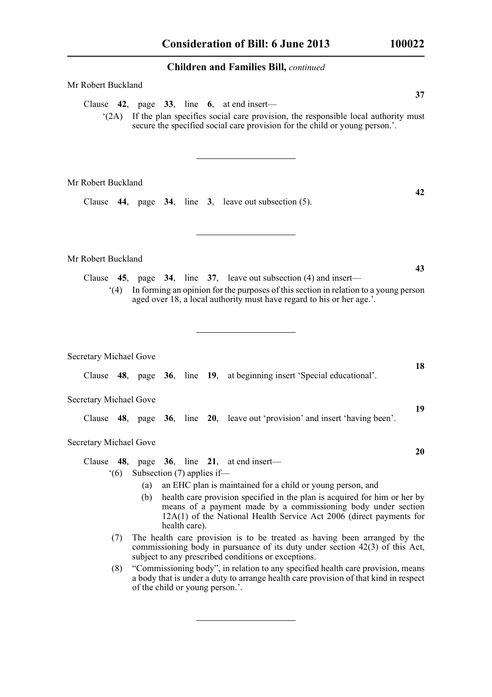| Mr Robert Buckland            | 37                                                                                                                                                                                                                                                                                                                                                                                                                               |
|-------------------------------|----------------------------------------------------------------------------------------------------------------------------------------------------------------------------------------------------------------------------------------------------------------------------------------------------------------------------------------------------------------------------------------------------------------------------------|
| (2A)                          | Clause $42$ , page $33$ , line 6, at end insert—<br>If the plan specifies social care provision, the responsible local authority must<br>secure the specified social care provision for the child or young person.'.                                                                                                                                                                                                             |
| Mr Robert Buckland            | 42                                                                                                                                                                                                                                                                                                                                                                                                                               |
|                               | Clause $44$ , page $34$ , line 3, leave out subsection (5).                                                                                                                                                                                                                                                                                                                                                                      |
| Mr Robert Buckland<br>(4)     | 43<br>Clause 45, page 34, line 37, leave out subsection $(4)$ and insert—<br>In forming an opinion for the purposes of this section in relation to a young person<br>aged over 18, a local authority must have regard to his or her age.'.                                                                                                                                                                                       |
| <b>Secretary Michael Gove</b> | 18<br>Clause 48, page 36, line 19, at beginning insert 'Special educational'.                                                                                                                                                                                                                                                                                                                                                    |
| <b>Secretary Michael Gove</b> | 19<br>Clause 48, page 36, line 20, leave out 'provision' and insert 'having been'.                                                                                                                                                                                                                                                                                                                                               |
| Secretary Michael Gove<br>(6) | 20<br>Clause $48$ , page $36$ , line $21$ , at end insert—<br>Subsection $(7)$ applies if—<br>an EHC plan is maintained for a child or young person, and<br>(a)<br>health care provision specified in the plan is acquired for him or her by<br>(b)<br>means of a payment made by a commissioning body under section<br>12A(1) of the National Health Service Act 2006 (direct payments for<br>health care).                     |
| (7)<br>(8)                    | The health care provision is to be treated as having been arranged by the<br>commissioning body in pursuance of its duty under section $42(3)$ of this Act,<br>subject to any prescribed conditions or exceptions.<br>"Commissioning body", in relation to any specified health care provision, means<br>a body that is under a duty to arrange health care provision of that kind in respect<br>of the child or young person.'. |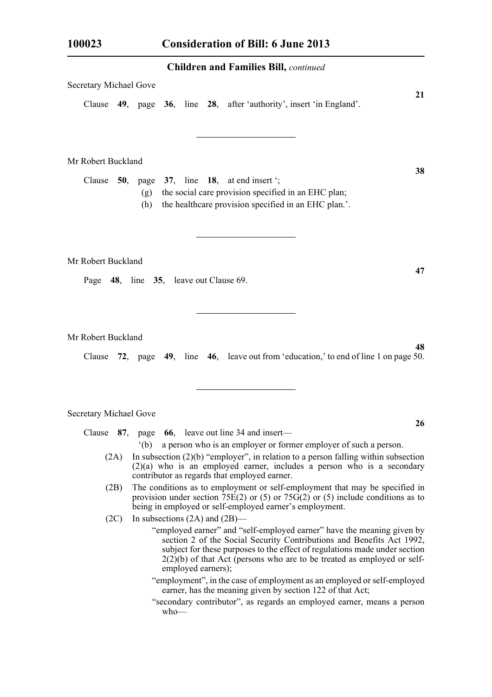| <b>Children and Families Bill, continued</b>                                                                                                                                                                                                                                                                                                                                                                                                                                                                           |  |  |  |  |  |  |  |
|------------------------------------------------------------------------------------------------------------------------------------------------------------------------------------------------------------------------------------------------------------------------------------------------------------------------------------------------------------------------------------------------------------------------------------------------------------------------------------------------------------------------|--|--|--|--|--|--|--|
| Secretary Michael Gove                                                                                                                                                                                                                                                                                                                                                                                                                                                                                                 |  |  |  |  |  |  |  |
| 21<br>Clause 49, page 36, line 28, after 'authority', insert 'in England'.                                                                                                                                                                                                                                                                                                                                                                                                                                             |  |  |  |  |  |  |  |
| Mr Robert Buckland<br>38<br>Clause $50$ , page $37$ , line 18, at end insert :<br>the social care provision specified in an EHC plan;<br>(g)<br>the healthcare provision specified in an EHC plan.'.<br>(h)                                                                                                                                                                                                                                                                                                            |  |  |  |  |  |  |  |
| Mr Robert Buckland<br>47<br>Page 48, line 35, leave out Clause 69.                                                                                                                                                                                                                                                                                                                                                                                                                                                     |  |  |  |  |  |  |  |
| Mr Robert Buckland<br>48<br>Clause 72, page 49, line 46, leave out from 'education,' to end of line 1 on page 50.                                                                                                                                                                                                                                                                                                                                                                                                      |  |  |  |  |  |  |  |
| <b>Secretary Michael Gove</b>                                                                                                                                                                                                                                                                                                                                                                                                                                                                                          |  |  |  |  |  |  |  |
| 26<br>Clause 87, page 66, leave out line 34 and insert—<br>$^{\circ}$ (b)<br>a person who is an employer or former employer of such a person.<br>In subsection $(2)(b)$ "employer", in relation to a person falling within subsection<br>(2A)<br>$(2)(a)$ who is an employed earner, includes a person who is a secondary<br>contributor as regards that employed earner.                                                                                                                                              |  |  |  |  |  |  |  |
| The conditions as to employment or self-employment that may be specified in<br>(2B)<br>provision under section $75E(2)$ or (5) or $75G(2)$ or (5) include conditions as to<br>being in employed or self-employed earner's employment.                                                                                                                                                                                                                                                                                  |  |  |  |  |  |  |  |
| In subsections $(2A)$ and $(2B)$ —<br>(2C)<br>"employed earner" and "self-employed earner" have the meaning given by<br>section 2 of the Social Security Contributions and Benefits Act 1992,<br>subject for these purposes to the effect of regulations made under section<br>$2(2)(b)$ of that Act (persons who are to be treated as employed or self-<br>employed earners);<br>"employment", in the case of employment as an employed or self-employed<br>earner, has the meaning given by section 122 of that Act; |  |  |  |  |  |  |  |
| "secondary contributor", as regards an employed earner, means a person<br>$who$ —                                                                                                                                                                                                                                                                                                                                                                                                                                      |  |  |  |  |  |  |  |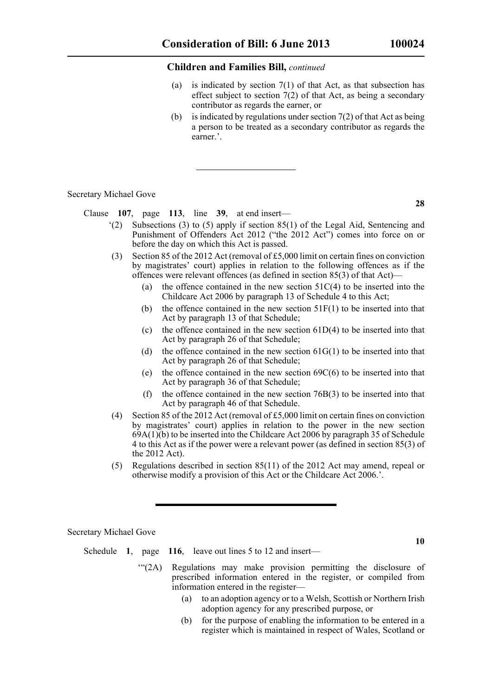- (a) is indicated by section  $7(1)$  of that Act, as that subsection has effect subject to section 7(2) of that Act, as being a secondary contributor as regards the earner, or
- (b) is indicated by regulations under section 7(2) of that Act as being a person to be treated as a secondary contributor as regards the earner.'.

Secretary Michael Gove

Clause **107**, page **113**, line **39**, at end insert—

- '(2) Subsections (3) to (5) apply if section 85(1) of the Legal Aid, Sentencing and Punishment of Offenders Act 2012 ("the 2012 Act") comes into force on or before the day on which this Act is passed.
- (3) Section 85 of the 2012 Act (removal of £5,000 limit on certain fines on conviction by magistrates' court) applies in relation to the following offences as if the offences were relevant offences (as defined in section 85(3) of that Act)—
	- (a) the offence contained in the new section  $51C(4)$  to be inserted into the Childcare Act 2006 by paragraph 13 of Schedule 4 to this Act;
	- (b) the offence contained in the new section  $51F(1)$  to be inserted into that Act by paragraph 13 of that Schedule;
	- (c) the offence contained in the new section  $61D(4)$  to be inserted into that Act by paragraph 26 of that Schedule;
	- (d) the offence contained in the new section  $61G(1)$  to be inserted into that Act by paragraph 26 of that Schedule;
	- (e) the offence contained in the new section  $69C(6)$  to be inserted into that Act by paragraph 36 of that Schedule;
	- (f) the offence contained in the new section  $76B(3)$  to be inserted into that Act by paragraph 46 of that Schedule.
- (4) Section 85 of the 2012 Act (removal of £5,000 limit on certain fines on conviction by magistrates' court) applies in relation to the power in the new section 69A(1)(b) to be inserted into the Childcare Act 2006 by paragraph 35 of Schedule 4 to this Act as if the power were a relevant power (as defined in section 85(3) of the 2012 Act).
- (5) Regulations described in section 85(11) of the 2012 Act may amend, repeal or otherwise modify a provision of this Act or the Childcare Act 2006.'.

Secretary Michael Gove

Schedule **1**, page **116**, leave out lines 5 to 12 and insert—

- '"(2A) Regulations may make provision permitting the disclosure of prescribed information entered in the register, or compiled from information entered in the register—
	- (a) to an adoption agency or to a Welsh, Scottish or Northern Irish adoption agency for any prescribed purpose, or
	- (b) for the purpose of enabling the information to be entered in a register which is maintained in respect of Wales, Scotland or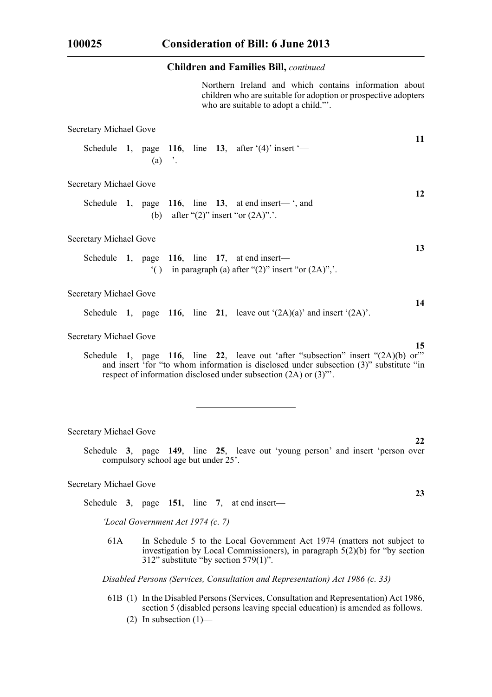Northern Ireland and which contains information about children who are suitable for adoption or prospective adopters who are suitable to adopt a child."'.

| Secretary Michael Gove |  |  |          |  |  |                                                                                                              |    |
|------------------------|--|--|----------|--|--|--------------------------------------------------------------------------------------------------------------|----|
|                        |  |  | $(a)$ '. |  |  | Schedule 1, page 116, line 13, after $(4)$ insert $-$                                                        | 11 |
| Secretary Michael Gove |  |  |          |  |  |                                                                                                              |    |
|                        |  |  |          |  |  | Schedule 1, page 116, line 13, at end insert— $\cdot$ , and<br>(b) after " $(2)$ " insert "or $(2A)$ "       | 12 |
| Secretary Michael Gove |  |  |          |  |  |                                                                                                              |    |
|                        |  |  |          |  |  | Schedule 1, page 116, line 17, at end insert—<br>() in paragraph (a) after " $(2)$ " insert "or $(2A)$ ", ". | 13 |
| Secretary Michael Gove |  |  |          |  |  |                                                                                                              |    |
|                        |  |  |          |  |  | Schedule 1, page 116, line 21, leave out $(2A)(a)$ and insert $(2A)$ .                                       | 14 |
| Secretary Michael Gove |  |  |          |  |  |                                                                                                              |    |

Schedule 1, page 116, line 22, leave out 'after "subsection" insert "(2A)(b) or"' and insert 'for "to whom information is disclosed under subsection (3)" substitute "in respect of information disclosed under subsection (2A) or (3)"'.

Secretary Michael Gove

Schedule **3**, page **149**, line **25**, leave out 'young person' and insert 'person over compulsory school age but under 25'.

Secretary Michael Gove

Schedule **3**, page **151**, line **7**, at end insert—

*'Local Government Act 1974 (c. 7)*

61A In Schedule 5 to the Local Government Act 1974 (matters not subject to investigation by Local Commissioners), in paragraph 5(2)(b) for "by section 312" substitute "by section 579(1)".

*Disabled Persons (Services, Consultation and Representation) Act 1986 (c. 33)*

- 61B (1) In the Disabled Persons (Services, Consultation and Representation) Act 1986, section 5 (disabled persons leaving special education) is amended as follows.
	- (2) In subsection  $(1)$ —

**23**

**22**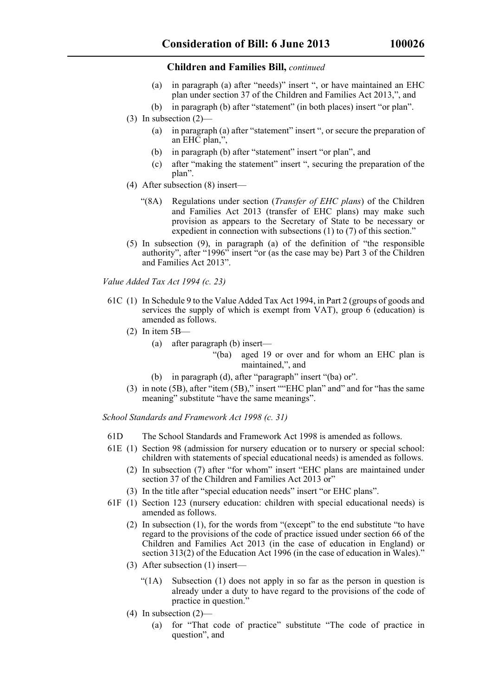- (a) in paragraph (a) after "needs)" insert ", or have maintained an EHC plan under section 37 of the Children and Families Act 2013,", and
- (b) in paragraph (b) after "statement" (in both places) insert "or plan".
- (3) In subsection (2)—
	- (a) in paragraph (a) after "statement" insert ", or secure the preparation of an EHC plan,",
	- (b) in paragraph (b) after "statement" insert "or plan", and
	- (c) after "making the statement" insert ", securing the preparation of the plan".
- (4) After subsection (8) insert—
	- "(8A) Regulations under section (*Transfer of EHC plans*) of the Children and Families Act 2013 (transfer of EHC plans) may make such provision as appears to the Secretary of State to be necessary or expedient in connection with subsections (1) to (7) of this section."
- (5) In subsection (9), in paragraph (a) of the definition of "the responsible authority", after "1996" insert "or (as the case may be) Part 3 of the Children and Families Act 2013".

*Value Added Tax Act 1994 (c. 23)*

- 61C (1) In Schedule 9 to the Value Added Tax Act 1994, in Part 2 (groups of goods and services the supply of which is exempt from VAT), group 6 (education) is amended as follows.
	- (2) In item 5B—
		- (a) after paragraph (b) insert—

"(ba) aged 19 or over and for whom an EHC plan is maintained,", and

- (b) in paragraph (d), after "paragraph" insert "(ba) or".
- (3) in note (5B), after "item (5B)," insert ""EHC plan" and" and for "has the same meaning" substitute "have the same meanings".

*School Standards and Framework Act 1998 (c. 31)*

- 61D The School Standards and Framework Act 1998 is amended as follows.
- 61E (1) Section 98 (admission for nursery education or to nursery or special school: children with statements of special educational needs) is amended as follows.
	- (2) In subsection (7) after "for whom" insert "EHC plans are maintained under section 37 of the Children and Families Act 2013 or"
	- (3) In the title after "special education needs" insert "or EHC plans".
- 61F (1) Section 123 (nursery education: children with special educational needs) is amended as follows.
	- (2) In subsection (1), for the words from "(except" to the end substitute "to have regard to the provisions of the code of practice issued under section 66 of the Children and Families Act 2013 (in the case of education in England) or section 313(2) of the Education Act 1996 (in the case of education in Wales)."
	- (3) After subsection (1) insert—
		- "(1A) Subsection (1) does not apply in so far as the person in question is already under a duty to have regard to the provisions of the code of practice in question."
	- (4) In subsection (2)—
		- (a) for "That code of practice" substitute "The code of practice in question", and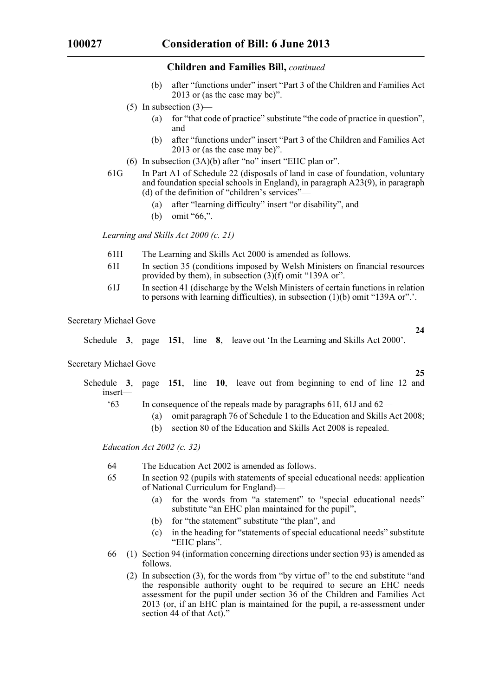- (b) after "functions under" insert "Part 3 of the Children and Families Act 2013 or (as the case may be)".
- $(5)$  In subsection  $(3)$ 
	- (a) for "that code of practice" substitute "the code of practice in question", and
	- (b) after "functions under" insert "Part 3 of the Children and Families Act 2013 or (as the case may be)".
- (6) In subsection (3A)(b) after "no" insert "EHC plan or".
- 61G In Part A1 of Schedule 22 (disposals of land in case of foundation, voluntary and foundation special schools in England), in paragraph A23(9), in paragraph (d) of the definition of "children's services"—
	- (a) after "learning difficulty" insert "or disability", and
	- (b) omit "66,".

*Learning and Skills Act 2000 (c. 21)*

- 61H The Learning and Skills Act 2000 is amended as follows.
- 61I In section 35 (conditions imposed by Welsh Ministers on financial resources provided by them), in subsection (3)(f) omit "139A or".
- 61J In section 41 (discharge by the Welsh Ministers of certain functions in relation to persons with learning difficulties), in subsection (1)(b) omit "139A or".'.

Secretary Michael Gove

Schedule **3**, page **151**, line **8**, leave out 'In the Learning and Skills Act 2000'.

#### Secretary Michael Gove

Schedule **3**, page **151**, line **10**, leave out from beginning to end of line 12 and insert—

- '63 In consequence of the repeals made by paragraphs 61I, 61J and 62—
	- (a) omit paragraph 76 of Schedule 1 to the Education and Skills Act 2008;
	- (b) section 80 of the Education and Skills Act 2008 is repealed.

*Education Act 2002 (c. 32)*

- 64 The Education Act 2002 is amended as follows.
- 65 In section 92 (pupils with statements of special educational needs: application of National Curriculum for England)—
	- (a) for the words from "a statement" to "special educational needs" substitute "an EHC plan maintained for the pupil",
	- (b) for "the statement" substitute "the plan", and
	- (c) in the heading for "statements of special educational needs" substitute "EHC plans".
- 66 (1) Section 94 (information concerning directions under section 93) is amended as follows.
	- (2) In subsection (3), for the words from "by virtue of" to the end substitute "and the responsible authority ought to be required to secure an EHC needs assessment for the pupil under section 36 of the Children and Families Act 2013 (or, if an EHC plan is maintained for the pupil, a re-assessment under section 44 of that Act)."

**25**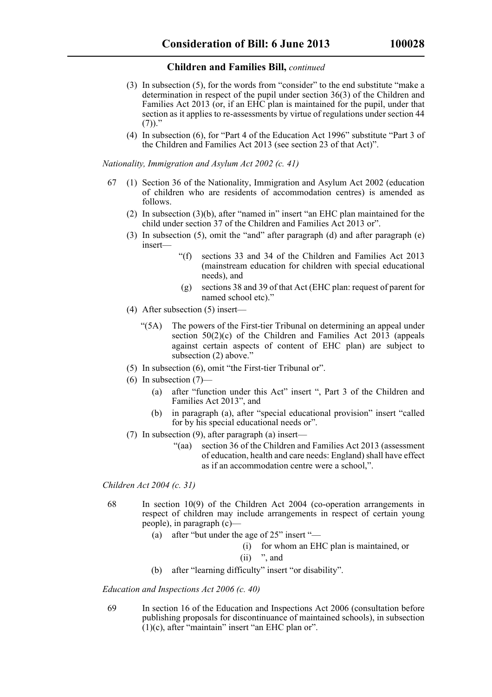- (3) In subsection (5), for the words from "consider" to the end substitute "make a determination in respect of the pupil under section 36(3) of the Children and Families Act 2013 (or, if an EHC plan is maintained for the pupil, under that section as it applies to re-assessments by virtue of regulations under section 44  $(7)$ )."
- (4) In subsection (6), for "Part 4 of the Education Act 1996" substitute "Part 3 of the Children and Families Act 2013 (see section 23 of that Act)".

*Nationality, Immigration and Asylum Act 2002 (c. 41)*

- 67 (1) Section 36 of the Nationality, Immigration and Asylum Act 2002 (education of children who are residents of accommodation centres) is amended as follows.
	- (2) In subsection (3)(b), after "named in" insert "an EHC plan maintained for the child under section 37 of the Children and Families Act 2013 or".
	- (3) In subsection (5), omit the "and" after paragraph (d) and after paragraph (e) insert—
		- "(f) sections 33 and 34 of the Children and Families Act 2013 (mainstream education for children with special educational needs), and
		- (g) sections 38 and 39 of that Act (EHC plan: request of parent for named school etc)."
	- (4) After subsection (5) insert—
		- "(5A) The powers of the First-tier Tribunal on determining an appeal under section 50(2)(c) of the Children and Families Act 2013 (appeals against certain aspects of content of EHC plan) are subject to subsection (2) above."
	- (5) In subsection (6), omit "the First-tier Tribunal or".
	- $(6)$  In subsection  $(7)$ 
		- (a) after "function under this Act" insert ", Part 3 of the Children and Families Act 2013", and
		- (b) in paragraph (a), after "special educational provision" insert "called for by his special educational needs or".
	- (7) In subsection (9), after paragraph (a) insert—
		- "(aa) section 36 of the Children and Families Act 2013 (assessment of education, health and care needs: England) shall have effect as if an accommodation centre were a school,".

*Children Act 2004 (c. 31)*

- 68 In section 10(9) of the Children Act 2004 (co-operation arrangements in respect of children may include arrangements in respect of certain young people), in paragraph (c)—
	- (a) after "but under the age of 25" insert "—
		- (i) for whom an EHC plan is maintained, or

 $(ii)$  ", and

(b) after "learning difficulty" insert "or disability".

*Education and Inspections Act 2006 (c. 40)*

69 In section 16 of the Education and Inspections Act 2006 (consultation before publishing proposals for discontinuance of maintained schools), in subsection  $(1)(c)$ , after "maintain" insert "an EHC plan or".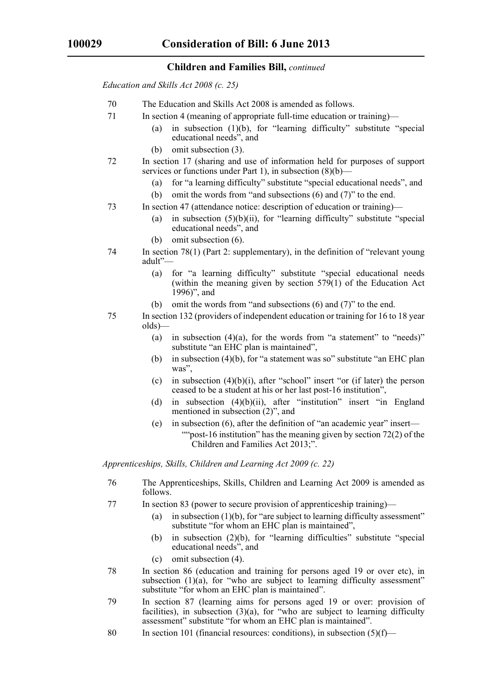*Education and Skills Act 2008 (c. 25)*

- 70 The Education and Skills Act 2008 is amended as follows.
- 71 In section 4 (meaning of appropriate full-time education or training)—
	- (a) in subsection  $(1)(b)$ , for "learning difficulty" substitute "special educational needs", and
	- (b) omit subsection (3).
- 72 In section 17 (sharing and use of information held for purposes of support services or functions under Part 1), in subsection  $(8)(b)$ —
	- (a) for "a learning difficulty" substitute "special educational needs", and
	- (b) omit the words from "and subsections (6) and (7)" to the end.
- 73 In section 47 (attendance notice: description of education or training)—
	- (a) in subsection  $(5)(b)(ii)$ , for "learning difficulty" substitute "special educational needs", and
	- (b) omit subsection (6).
- 74 In section 78(1) (Part 2: supplementary), in the definition of "relevant young adult"—
	- (a) for "a learning difficulty" substitute "special educational needs (within the meaning given by section  $579(1)$  of the Education Act 1996)", and
	- (b) omit the words from "and subsections (6) and (7)" to the end.
- 75 In section 132 (providers of independent education or training for 16 to 18 year olds)—
	- (a) in subsection  $(4)(a)$ , for the words from "a statement" to "needs)" substitute "an EHC plan is maintained",
	- (b) in subsection (4)(b), for "a statement was so" substitute "an EHC plan was",
	- (c) in subsection  $(4)(b)(i)$ , after "school" insert "or (if later) the person ceased to be a student at his or her last post-16 institution",
	- (d) in subsection (4)(b)(ii), after "institution" insert "in England mentioned in subsection (2)", and
	- (e) in subsection (6), after the definition of "an academic year" insert— ""post-16 institution" has the meaning given by section  $72(2)$  of the Children and Families Act 2013;".

*Apprenticeships, Skills, Children and Learning Act 2009 (c. 22)*

- 76 The Apprenticeships, Skills, Children and Learning Act 2009 is amended as follows.
- 77 In section 83 (power to secure provision of apprenticeship training)—
	- (a) in subsection  $(1)(b)$ , for "are subject to learning difficulty assessment" substitute "for whom an EHC plan is maintained",
	- (b) in subsection (2)(b), for "learning difficulties" substitute "special educational needs", and
	- (c) omit subsection (4).
- 78 In section 86 (education and training for persons aged 19 or over etc), in subsection (1)(a), for "who are subject to learning difficulty assessment" substitute "for whom an EHC plan is maintained".
- 79 In section 87 (learning aims for persons aged 19 or over: provision of facilities), in subsection  $(3)(a)$ , for "who are subject to learning difficulty assessment" substitute "for whom an EHC plan is maintained".
- 80 In section 101 (financial resources: conditions), in subsection  $(5)(f)$ —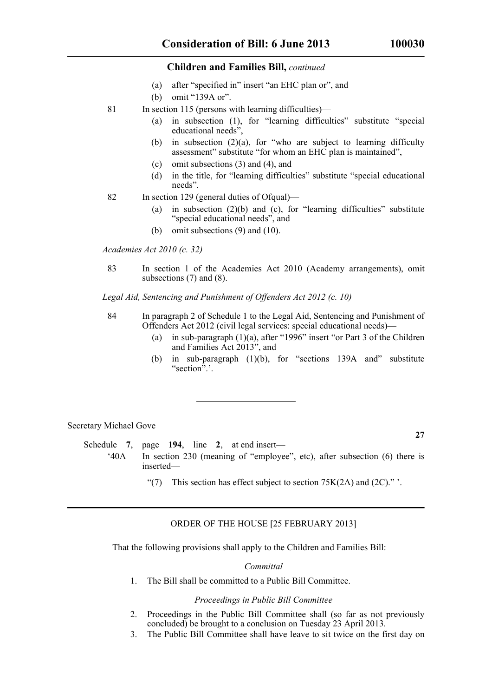**27**

#### **Children and Families Bill,** *continued*

- (a) after "specified in" insert "an EHC plan or", and
- (b) omit "139A or".
- 81 In section 115 (persons with learning difficulties)—
	- (a) in subsection (1), for "learning difficulties" substitute "special educational needs",
	- (b) in subsection  $(2)(a)$ , for "who are subject to learning difficulty assessment" substitute "for whom an EHC plan is maintained",
	- (c) omit subsections (3) and (4), and
	- (d) in the title, for "learning difficulties" substitute "special educational needs".
- 82 In section 129 (general duties of Ofqual)—
	- (a) in subsection (2)(b) and (c), for "learning difficulties" substitute "special educational needs", and
	- (b) omit subsections (9) and (10).

*Academies Act 2010 (c. 32)*

83 In section 1 of the Academies Act 2010 (Academy arrangements), omit subsections (7) and (8).

*Legal Aid, Sentencing and Punishment of Offenders Act 2012 (c. 10)*

- 84 In paragraph 2 of Schedule 1 to the Legal Aid, Sentencing and Punishment of Offenders Act 2012 (civil legal services: special educational needs)—
	- (a) in sub-paragraph (1)(a), after "1996" insert "or Part 3 of the Children and Families Act 2013", and
	- (b) in sub-paragraph (1)(b), for "sections 139A and" substitute "section"<sup>\*</sup>

Secretary Michael Gove

Schedule **7**, page **194**, line **2**, at end insert— '40A In section 230 (meaning of "employee", etc), after subsection (6) there is inserted—

"(7) This section has effect subject to section  $75K(2A)$  and  $(2C)$ ." '.

#### ORDER OF THE HOUSE [25 FEBRUARY 2013]

That the following provisions shall apply to the Children and Families Bill:

#### *Committal*

1. The Bill shall be committed to a Public Bill Committee.

#### *Proceedings in Public Bill Committee*

- 2. Proceedings in the Public Bill Committee shall (so far as not previously concluded) be brought to a conclusion on Tuesday 23 April 2013.
- 3. The Public Bill Committee shall have leave to sit twice on the first day on